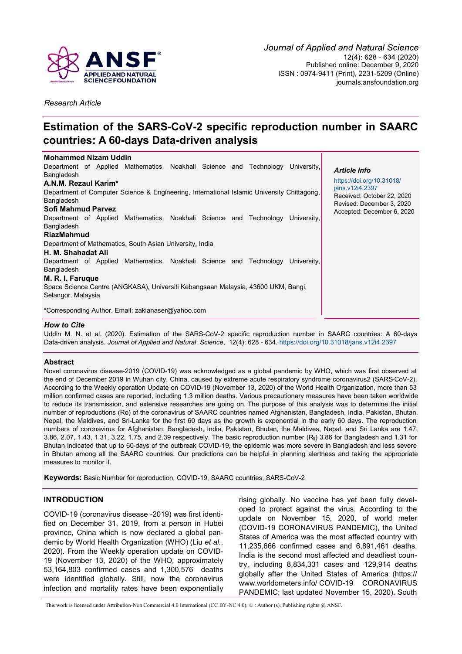

*Research Article*

# **Estimation of the SARS-CoV-2 specific reproduction number in SAARC countries: A 60-days Data-driven analysis**

| <b>Mohammed Nizam Uddin</b>                                                                |                                               |
|--------------------------------------------------------------------------------------------|-----------------------------------------------|
| Department of Applied Mathematics, Noakhali Science and Technology<br>University.          | <b>Article Info</b>                           |
| Bangladesh                                                                                 |                                               |
| A.N.M. Rezaul Karim*                                                                       | https://doi.org/10.31018/                     |
| Department of Computer Science & Engineering, International Islamic University Chittagong, | jans.v12i4.2397<br>Received: October 22, 2020 |
| Bangladesh                                                                                 | Revised: December 3, 2020                     |
| Sofi Mahmud Parvez                                                                         | Accepted: December 6, 2020                    |
| Department of Applied Mathematics, Noakhali Science and Technology<br>University.          |                                               |
| Bangladesh                                                                                 |                                               |
| <b>RiazMahmud</b>                                                                          |                                               |
| Department of Mathematics, South Asian University, India                                   |                                               |
| H. M. Shahadat Ali                                                                         |                                               |
| Department of Applied Mathematics, Noakhali Science and Technology<br>University.          |                                               |
| Bangladesh                                                                                 |                                               |
| M. R. I. Faruque                                                                           |                                               |
| Space Science Centre (ANGKASA), Universiti Kebangsaan Malaysia, 43600 UKM, Bangi,          |                                               |
| Selangor, Malaysia                                                                         |                                               |
|                                                                                            |                                               |
| *Corresponding Author. Email: zakianaser@yahoo.com                                         |                                               |

#### *How to Cite*

Uddin M. N. et al. (2020). Estimation of the SARS-CoV-2 specific reproduction number in SAARC countries: A 60-days Data-driven analysis. *Journal of Applied and Natural Science*, 12(4): 628 - 634.<https://doi.org/10.31018/jans.v12i4.2397>

# **Abstract**

Novel coronavirus disease-2019 (COVID-19) was acknowledged as a global pandemic by WHO, which was first observed at the end of December 2019 in Wuhan city, China, caused by extreme acute respiratory syndrome coronavirus2 (SARS-CoV-2). According to the Weekly operation Update on COVID-19 (November 13, 2020) of the World Health Organization, more than 53 million confirmed cases are reported, including 1.3 million deaths. Various precautionary measures have been taken worldwide to reduce its transmission, and extensive researches are going on. The purpose of this analysis was to determine the initial number of reproductions (Ro) of the coronavirus of SAARC countries named Afghanistan, Bangladesh, India, Pakistan, Bhutan, Nepal, the Maldives, and Sri-Lanka for the first 60 days as the growth is exponential in the early 60 days. The reproduction numbers of coronavirus for Afghanistan, Bangladesh, India, Pakistan, Bhutan, the Maldives, Nepal, and Sri Lanka are 1.47, 3.86, 2.07, 1.43, 1.31, 3.22, 1.75, and 2.39 respectively. The basic reproduction number  $(R_0)$  3.86 for Bangladesh and 1.31 for Bhutan indicated that up to 60-days of the outbreak COVID-19, the epidemic was more severe in Bangladesh and less severe in Bhutan among all the SAARC countries. Our predictions can be helpful in planning alertness and taking the appropriate measures to monitor it.

**Keywords:** Basic Number for reproduction, COVID-19, SAARC countries, SARS-CoV-2

# **INTRODUCTION**

COVID-19 (coronavirus disease -2019) was first identified on December 31, 2019, from a person in Hubei province, China which is now declared a global pandemic by World Health Organization (WHO) (Liu *et al.*, 2020). From the Weekly operation update on COVID-19 (November 13, 2020) of the WHO, approximately 53,164,803 confirmed cases and 1,300,576 deaths were identified globally. Still, now the coronavirus infection and mortality rates have been exponentially

rising globally. No vaccine has yet been fully developed to protect against the virus. According to the update on November 15, 2020, of world meter (COVID-19 CORONAVIRUS PANDEMIC), the United States of America was the most affected country with 11,235,666 confirmed cases and 6,891,461 deaths. India is the second most affected and deadliest country, including 8,834,331 cases and 129,914 deaths globally after the United States of America [\(https://](https://www.worldometers.info/) [www.worldometers.info/](https://www.worldometers.info/) COVID-19 CORONAVIRUS PANDEMIC; last updated November 15, 2020). South

This work is licensed under Attribution-Non Commercial 4.0 International (CC BY-NC 4.0). © : Author (s). Publishing rights @ ANSF.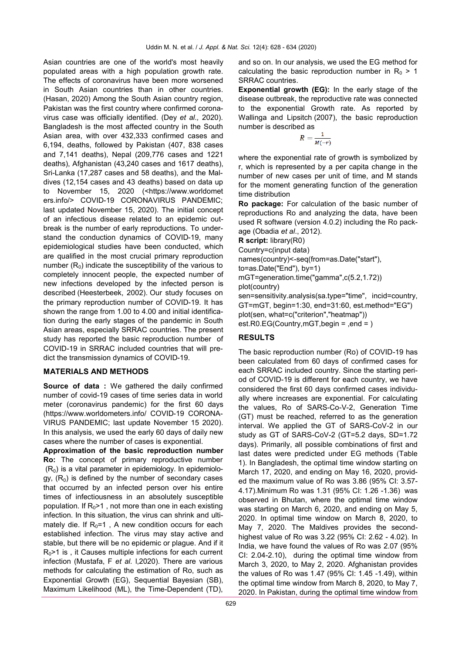Asian countries are one of the world's most heavily populated areas with a high population growth rate. The effects of coronavirus have been more worsened in South Asian countries than in other countries. (Hasan, 2020) Among the South Asian country region, Pakistan was the first country where confirmed coronavirus case was officially identified. (Dey *et al.,* 2020). Bangladesh is the most affected country in the South Asian area, with over 432,333 confirmed cases and 6,194, deaths, followed by Pakistan (407, 838 cases and 7,141 deaths), Nepal (209,776 cases and 1221 deaths), Afghanistan (43,240 cases and 1617 deaths), Sri-Lanka (17,287 cases and 58 deaths), and the Maldives (12,154 cases and 43 deaths) based on data up to November 15, 2020 (<https://www.worldomet ers.info/> COVID-19 CORONAVIRUS PANDEMIC; last updated November 15, 2020). The initial concept of an infectious disease related to an epidemic outbreak is the number of early reproductions. To understand the conduction dynamics of COVID-19, many epidemiological studies have been conducted, which are qualified in the most crucial primary reproduction number  $(R_0)$  indicate the susceptibility of the various to completely innocent people, the expected number of new infections developed by the infected person is described (Heesterbeek, 2002). Our study focuses on the primary reproduction number of COVID-19. It has shown the range from 1.00 to 4.00 and initial identification during the early stages of the pandemic in South Asian areas, especially SRRAC countries. The present study has reported the basic reproduction number of COVID-19 in SRRAC included countries that will predict the transmission dynamics of COVID-19.

## **MATERIALS AND METHODS**

**Source of data :** We gathered the daily confirmed number of covid-19 cases of time series data in world meter (coronavirus pandemic) for the first 60 days (https://www.worldometers.info/ COVID-19 CORONA-VIRUS PANDEMIC; last update November 15 2020). In this analysis, we used the early 60 days of daily new cases where the number of cases is exponential.

**Approximation of the basic reproduction number Ro:** The concept of primary reproductive number  $(R<sub>0</sub>)$  is a vital parameter in epidemiology. In epidemiology,  $(R_0)$  is defined by the number of secondary cases that occurred by an infected person over his entire times of infectiousness in an absolutely susceptible population. If  $R_0$ >1, not more than one in each existing infection. In this situation, the virus can shrink and ultimately die. If  $R_0=1$ , A new condition occurs for each established infection. The virus may stay active and stable, but there will be no epidemic or plague. And if it  $R_0$ >1 is, it Causes multiple infections for each current infection (Mustafa, F *et al.* l,2020). There are various methods for calculating the estimation of Ro, such as Exponential Growth (EG), Sequential Bayesian (SB), Maximum Likelihood (ML), the Time-Dependent (TD),

and so on. In our analysis, we used the EG method for calculating the basic reproduction number in  $R_0 > 1$ SRRAC countries.

**Exponential growth (EG):** In the early stage of the disease outbreak, the reproductive rate was connected to the exponential Growth rate. As reported by Wallinga and Lipsitch (2007), the basic reproduction number is described as

$$
R=\frac{1}{M(-r)}
$$

where the exponential rate of growth is symbolized by r, which is represented by a per capita change in the number of new cases per unit of time, and M stands for the moment generating function of the generation time distribution

**Ro package:** For calculation of the basic number of reproductions Ro and analyzing the data, have been used R software (version 4.0.2) including the Ro package (Obadia *et al*., 2012).

**R script:** library(R0)

Country=c(input data)

names(country)<-seq(from=as.Date("start"),

to=as.Date("End"), by=1)

mGT=generation.time("gamma",c(5.2,1.72))

plot(country)

sen=sensitivity.analysis(sa.type="time", incid=country, GT=mGT, begin=1:30, end=31:60, est.method="EG") plot(sen, what=c("criterion","heatmap")) est.R0.EG(Country,mGT,begin = ,end = )

# **RESULTS**

The basic reproduction number (Ro) of COVID-19 has been calculated from 60 days of confirmed cases for each SRRAC included country. Since the starting period of COVID-19 is different for each country, we have considered the first 60 days confirmed cases individually where increases are exponential. For calculating the values, Ro of SARS-Co-V-2, Generation Time (GT) must be reached, referred to as the generation interval. We applied the GT of SARS-CoV-2 in our study as GT of SARS-CoV-2 (GT=5.2 days, SD=1.72 days). Primarily, all possible combinations of first and last dates were predicted under EG methods (Table 1). In Bangladesh, the optimal time window starting on March 17, 2020, and ending on May 16, 2020, provided the maximum value of Ro was 3.86 (95% CI: 3.57- 4.17).Minimum Ro was 1.31 (95% CI: 1.26 -1.36) was observed in Bhutan, where the optimal time window was starting on March 6, 2020, and ending on May 5, 2020. In optimal time window on March 8, 2020, to May 7, 2020. The Maldives provides the secondhighest value of Ro was 3.22 (95% CI: 2.62 - 4.02). In India, we have found the values of Ro was 2.07 (95% CI: 2.04-2.10), during the optimal time window from March 3, 2020, to May 2, 2020. Afghanistan provides the values of Ro was 1.47 (95% CI: 1.45 -1.49), within the optimal time window from March 8, 2020, to May 7, 2020. In Pakistan, during the optimal time window from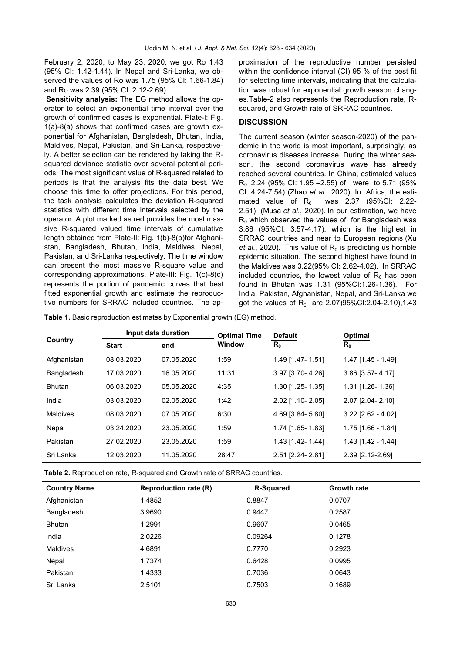February 2, 2020, to May 23, 2020, we got Ro 1.43 (95% CI: 1.42-1.44). In Nepal and Sri-Lanka, we observed the values of Ro was 1.75 (95% CI: 1.66-1.84) and Ro was 2.39 (95% CI: 2.12-2.69).

**Sensitivity analysis:** The EG method allows the operator to select an exponential time interval over the growth of confirmed cases is exponential. Plate-I: Fig. 1(a)-8(a) shows that confirmed cases are growth exponential for Afghanistan, Bangladesh, Bhutan, India, Maldives, Nepal, Pakistan, and Sri-Lanka, respectively. A better selection can be rendered by taking the Rsquared deviance statistic over several potential periods. The most significant value of R-squared related to periods is that the analysis fits the data best. We choose this time to offer projections. For this period, the task analysis calculates the deviation R-squared statistics with different time intervals selected by the operator. A plot marked as red provides the most massive R-squared valued time intervals of cumulative length obtained from Plate-II: Fig. 1(b)-8(b)for Afghanistan, Bangladesh, Bhutan, India, Maldives, Nepal, Pakistan, and Sri-Lanka respectively. The time window can present the most massive R-square value and corresponding approximations. Plate-III: Fig. 1(c)-8(c) represents the portion of pandemic curves that best fitted exponential growth and estimate the reproductive numbers for SRRAC included countries. The approximation of the reproductive number persisted within the confidence interval (CI) 95 % of the best fit for selecting time intervals, indicating that the calculation was robust for exponential growth season changes.Table-2 also represents the Reproduction rate, Rsquared, and Growth rate of SRRAC countries.

#### **DISCUSSION**

The current season (winter season-2020) of the pandemic in the world is most important, surprisingly, as coronavirus diseases increase. During the winter season, the second coronavirus wave has already reached several countries. In China, estimated values  $R_0$  2.24 (95% CI: 1.95 – 2.55) of were to 5.71 (95% CI: 4.24-7.54) (Zhao *et al.,* 2020). In Africa, the estimated value of  $R_0$  was 2.37 (95%CI: 2.22-2.51) (Musa *et al.*, 2020)*.* In our estimation, we have  $R_0$  which observed the values of for Bangladesh was 3.86 (95%CI: 3.57-4.17), which is the highest in SRRAC countries and near to European regions (Xu *et al.*, 2020). This value of  $R_0$  is predicting us horrible epidemic situation. The second highest have found in the Maldives was 3.22(95% CI: 2.62-4.02). In SRRAC included countries, the lowest value of  $R_0$  has been found in Bhutan was 1.31 (95%CI:1.26-1.36). For India, Pakistan, Afghanistan, Nepal, and Sri-Lanka we got the values of  $R_0$  are 2.07)95%Cl:2.04-2.10),1.43

**Table 1.** Basic reproduction estimates by Exponential growth (EG) method.

| Country       | Input data duration |            | <b>Optimal Time</b> | <b>Default</b>     | Optimal              |
|---------------|---------------------|------------|---------------------|--------------------|----------------------|
|               | <b>Start</b>        | end        | <b>Window</b>       | $R_0$              | $R_0$                |
| Afghanistan   | 08.03.2020          | 07.05.2020 | 1:59                | 1.49 [1.47- 1.51]  | 1.47 [1.45 - 1.49]   |
| Bangladesh    | 17.03.2020          | 16.05.2020 | 11:31               | 3.97 [3.70-4.26]   | 3.86 [3.57-4.17]     |
| <b>Bhutan</b> | 06.03.2020          | 05.05.2020 | 4:35                | $1.30$ [1.25-1.35] | 1.31 [1.26-1.36]     |
| India         | 03.03.2020          | 02.05.2020 | 1:42                | 2.02 [1.10-2.05]   | 2.07 [2.04- 2.10]    |
| Maldives      | 08.03.2020          | 07.05.2020 | 6:30                | 4.69 [3.84- 5.80]  | $3.22$ [2.62 - 4.02] |
| Nepal         | 03.24.2020          | 23.05.2020 | 1:59                | 1.74 [1.65-1.83]   | 1.75 [1.66 - 1.84]   |
| Pakistan      | 27.02.2020          | 23.05.2020 | 1:59                | 1.43 [1.42-1.44]   | $1.43$ [1.42 - 1.44] |
| Sri Lanka     | 12.03.2020          | 11.05.2020 | 28:47               | 2.51 [2.24-2.81]   | 2.39 [2.12-2.69]     |

**Table 2.** Reproduction rate, R-squared and Growth rate of SRRAC countries.

| <b>Country Name</b> | <b>Reproduction rate (R)</b> | <b>R-Squared</b> | <b>Growth rate</b> |
|---------------------|------------------------------|------------------|--------------------|
| Afghanistan         | 1.4852                       | 0.8847           | 0.0707             |
| Bangladesh          | 3.9690                       | 0.9447           | 0.2587             |
| <b>Bhutan</b>       | 1.2991                       | 0.9607           | 0.0465             |
| India               | 2.0226                       | 0.09264          | 0.1278             |
| <b>Maldives</b>     | 4.6891                       | 0.7770           | 0.2923             |
| Nepal               | 1.7374                       | 0.6428           | 0.0995             |
| Pakistan            | 1.4333                       | 0.7036           | 0.0643             |
| Sri Lanka           | 2.5101                       | 0.7503           | 0.1689             |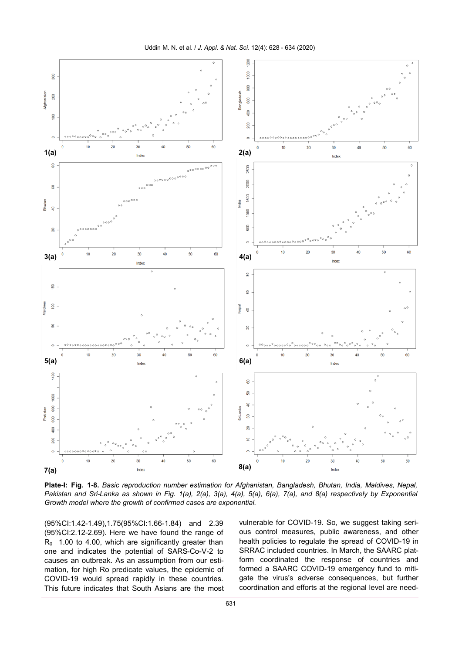

**Plate-I: Fig. 1-8.** *Basic reproduction number estimation for Afghanistan, Bangladesh, Bhutan, India, Maldives, Nepal, Pakistan and Sri-Lanka as shown in Fig. 1(a), 2(a), 3(a), 4(a), 5(a), 6(a), 7(a), and 8(a) respectively by Exponential Growth model where the growth of confirmed cases are exponential.*

(95%CI:1.42-1.49),1.75(95%CI:1.66-1.84) and 2.39 (95%CI:2.12-2.69). Here we have found the range of  $R_0$  1.00 to 4.00, which are significantly greater than one and indicates the potential of SARS-Co-V-2 to causes an outbreak. As an assumption from our estimation, for high Ro predicate values, the epidemic of COVID-19 would spread rapidly in these countries. This future indicates that South Asians are the most vulnerable for COVID-19. So, we suggest taking serious control measures, public awareness, and other health policies to regulate the spread of COVID-19 in SRRAC included countries. In March, the SAARC platform coordinated the response of countries and formed a SAARC COVID-19 emergency fund to mitigate the virus's adverse consequences, but further coordination and efforts at the regional level are need-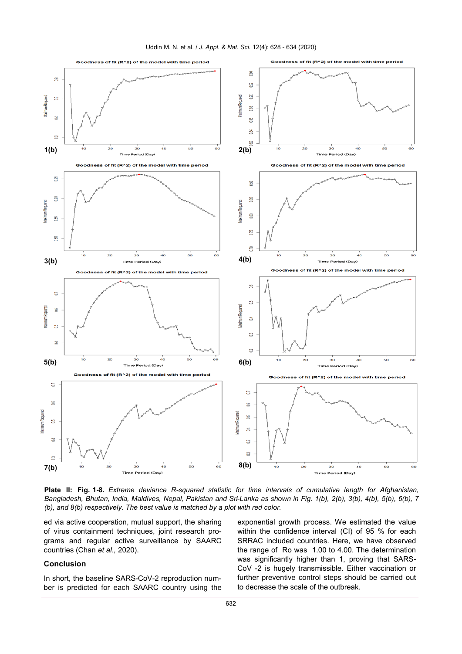

**Plate II: Fig. 1-8.** *Extreme deviance R-squared statistic for time intervals of cumulative length for Afghanistan, Bangladesh, Bhutan, India, Maldives, Nepal, Pakistan and Sri-Lanka as shown in Fig. 1(b), 2(b), 3(b), 4(b), 5(b), 6(b), 7 (b), and 8(b) respectively. The best value is matched by a plot with red color.*

ed via active cooperation, mutual support, the sharing of virus containment techniques, joint research programs and regular active surveillance by SAARC countries (Chan *et al.,* 2020).

## **Conclusion**

In short, the baseline SARS-CoV-2 reproduction number is predicted for each SAARC country using the exponential growth process. We estimated the value within the confidence interval (CI) of 95 % for each SRRAC included countries. Here, we have observed the range of Ro was 1.00 to 4.00. The determination was significantly higher than 1, proving that SARS-CoV -2 is hugely transmissible. Either vaccination or further preventive control steps should be carried out to decrease the scale of the outbreak.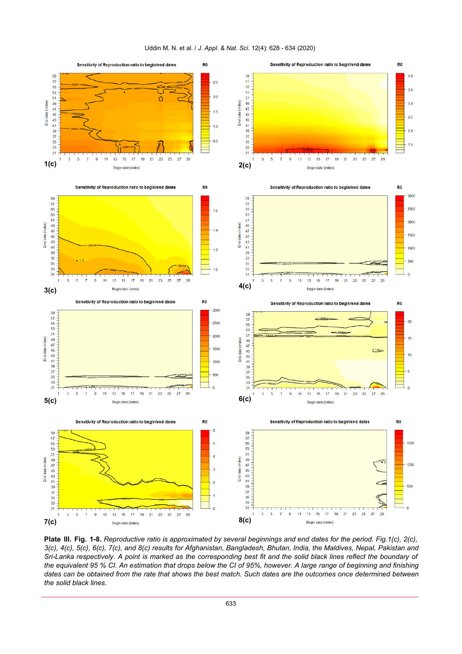

# Uddin M. N. et al. / *J. Appl. & Nat. Sci.* 12(4): 628 - 634 (2020)

**Plate III. Fig. 1-8.** *Reproductive ratio is approximated by several beginnings and end dates for the period. Fig.1(c), 2(c), 3(c), 4(c), 5(c), 6(c), 7(c), and 8(c) results for Afghanistan, Bangladesh, Bhutan, India, the Maldives, Nepal, Pakistan and Sri-Lanka respectively. A point is marked as the corresponding best fit and the solid black lines reflect the boundary of the equivalent 95 % CI. An estimation that drops below the CI of 95%, however. A large range of beginning and finishing*  dates can be obtained from the rate that shows the best match. Such dates are the outcomes once determined between *the solid black lines.*